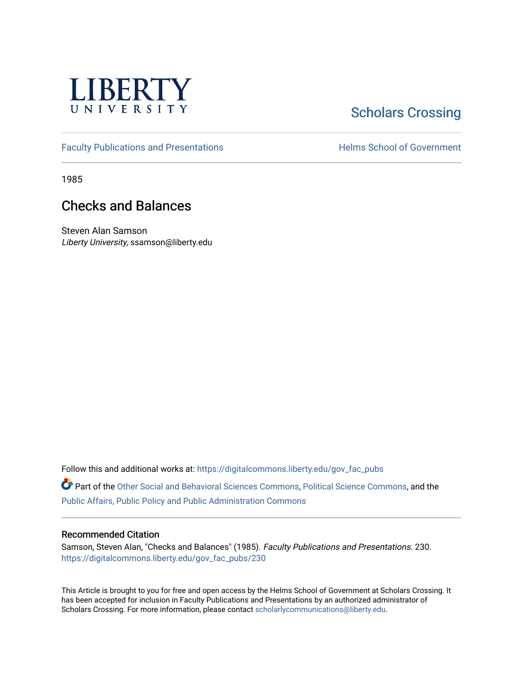

## **Scholars Crossing**

[Faculty Publications and Presentations](https://digitalcommons.liberty.edu/gov_fac_pubs) **Exercise School of Government** 

1985

## Checks and Balances

Steven Alan Samson Liberty University, ssamson@liberty.edu

Follow this and additional works at: [https://digitalcommons.liberty.edu/gov\\_fac\\_pubs](https://digitalcommons.liberty.edu/gov_fac_pubs?utm_source=digitalcommons.liberty.edu%2Fgov_fac_pubs%2F230&utm_medium=PDF&utm_campaign=PDFCoverPages)

Part of the [Other Social and Behavioral Sciences Commons](http://network.bepress.com/hgg/discipline/437?utm_source=digitalcommons.liberty.edu%2Fgov_fac_pubs%2F230&utm_medium=PDF&utm_campaign=PDFCoverPages), [Political Science Commons](http://network.bepress.com/hgg/discipline/386?utm_source=digitalcommons.liberty.edu%2Fgov_fac_pubs%2F230&utm_medium=PDF&utm_campaign=PDFCoverPages), and the [Public Affairs, Public Policy and Public Administration Commons](http://network.bepress.com/hgg/discipline/393?utm_source=digitalcommons.liberty.edu%2Fgov_fac_pubs%2F230&utm_medium=PDF&utm_campaign=PDFCoverPages)

## Recommended Citation

Samson, Steven Alan, "Checks and Balances" (1985). Faculty Publications and Presentations. 230. [https://digitalcommons.liberty.edu/gov\\_fac\\_pubs/230](https://digitalcommons.liberty.edu/gov_fac_pubs/230?utm_source=digitalcommons.liberty.edu%2Fgov_fac_pubs%2F230&utm_medium=PDF&utm_campaign=PDFCoverPages)

This Article is brought to you for free and open access by the Helms School of Government at Scholars Crossing. It has been accepted for inclusion in Faculty Publications and Presentations by an authorized administrator of Scholars Crossing. For more information, please contact [scholarlycommunications@liberty.edu.](mailto:scholarlycommunications@liberty.edu)